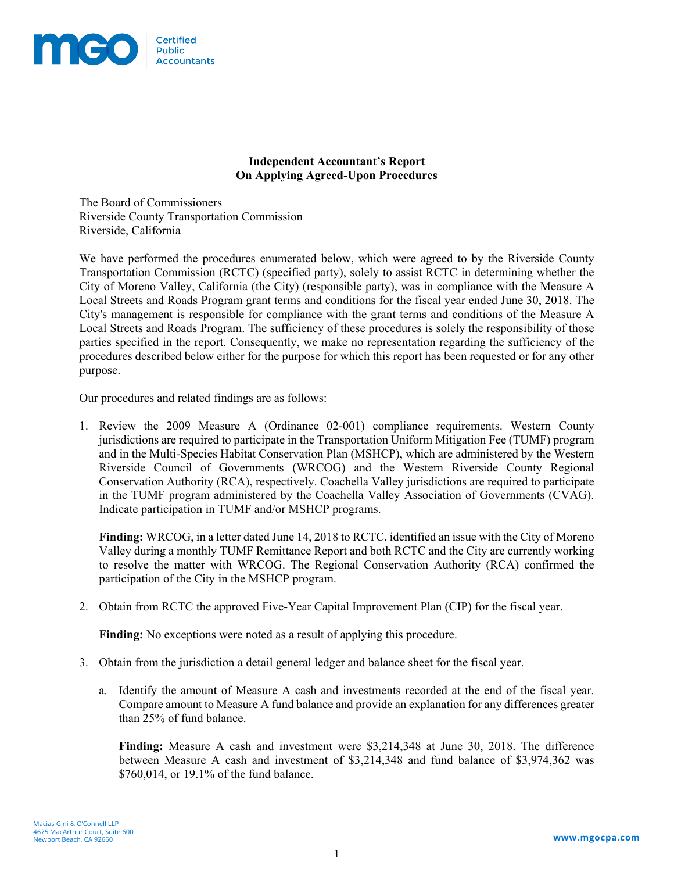

## **Independent Accountant's Report On Applying Agreed-Upon Procedures**

The Board of Commissioners Riverside County Transportation Commission Riverside, California

We have performed the procedures enumerated below, which were agreed to by the Riverside County Transportation Commission (RCTC) (specified party), solely to assist RCTC in determining whether the City of Moreno Valley, California (the City) (responsible party), was in compliance with the Measure A Local Streets and Roads Program grant terms and conditions for the fiscal year ended June 30, 2018. The City's management is responsible for compliance with the grant terms and conditions of the Measure A Local Streets and Roads Program. The sufficiency of these procedures is solely the responsibility of those parties specified in the report. Consequently, we make no representation regarding the sufficiency of the procedures described below either for the purpose for which this report has been requested or for any other purpose.

Our procedures and related findings are as follows:

1. Review the 2009 Measure A (Ordinance 02-001) compliance requirements. Western County jurisdictions are required to participate in the Transportation Uniform Mitigation Fee (TUMF) program and in the Multi-Species Habitat Conservation Plan (MSHCP), which are administered by the Western Riverside Council of Governments (WRCOG) and the Western Riverside County Regional Conservation Authority (RCA), respectively. Coachella Valley jurisdictions are required to participate in the TUMF program administered by the Coachella Valley Association of Governments (CVAG). Indicate participation in TUMF and/or MSHCP programs.

**Finding:** WRCOG, in a letter dated June 14, 2018 to RCTC, identified an issue with the City of Moreno Valley during a monthly TUMF Remittance Report and both RCTC and the City are currently working to resolve the matter with WRCOG. The Regional Conservation Authority (RCA) confirmed the participation of the City in the MSHCP program.

2. Obtain from RCTC the approved Five-Year Capital Improvement Plan (CIP) for the fiscal year.

**Finding:** No exceptions were noted as a result of applying this procedure.

- 3. Obtain from the jurisdiction a detail general ledger and balance sheet for the fiscal year.
	- a. Identify the amount of Measure A cash and investments recorded at the end of the fiscal year. Compare amount to Measure A fund balance and provide an explanation for any differences greater than 25% of fund balance.

**Finding:** Measure A cash and investment were \$3,214,348 at June 30, 2018. The difference between Measure A cash and investment of \$3,214,348 and fund balance of \$3,974,362 was \$760,014, or 19.1% of the fund balance.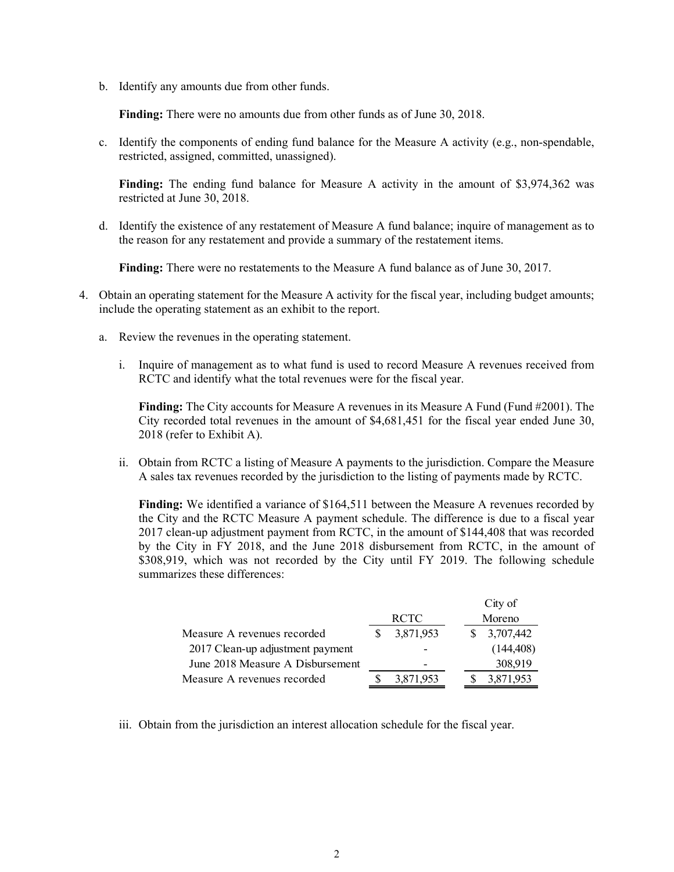b. Identify any amounts due from other funds.

**Finding:** There were no amounts due from other funds as of June 30, 2018.

c. Identify the components of ending fund balance for the Measure A activity (e.g., non-spendable, restricted, assigned, committed, unassigned).

**Finding:** The ending fund balance for Measure A activity in the amount of \$3,974,362 was restricted at June 30, 2018.

d. Identify the existence of any restatement of Measure A fund balance; inquire of management as to the reason for any restatement and provide a summary of the restatement items.

**Finding:** There were no restatements to the Measure A fund balance as of June 30, 2017.

- 4. Obtain an operating statement for the Measure A activity for the fiscal year, including budget amounts; include the operating statement as an exhibit to the report.
	- a. Review the revenues in the operating statement.
		- i. Inquire of management as to what fund is used to record Measure A revenues received from RCTC and identify what the total revenues were for the fiscal year.

**Finding:** The City accounts for Measure A revenues in its Measure A Fund (Fund #2001). The City recorded total revenues in the amount of \$4,681,451 for the fiscal year ended June 30, 2018 (refer to Exhibit A).

ii. Obtain from RCTC a listing of Measure A payments to the jurisdiction. Compare the Measure A sales tax revenues recorded by the jurisdiction to the listing of payments made by RCTC.

**Finding:** We identified a variance of \$164,511 between the Measure A revenues recorded by the City and the RCTC Measure A payment schedule. The difference is due to a fiscal year 2017 clean-up adjustment payment from RCTC, in the amount of \$144,408 that was recorded by the City in FY 2018, and the June 2018 disbursement from RCTC, in the amount of \$308,919, which was not recorded by the City until FY 2019. The following schedule summarizes these differences:

|                                  |             |           |  |        | City of    |  |
|----------------------------------|-------------|-----------|--|--------|------------|--|
|                                  | <b>RCTC</b> |           |  | Moreno |            |  |
| Measure A revenues recorded      |             | 3,871,953 |  |        | 3,707,442  |  |
| 2017 Clean-up adjustment payment |             |           |  |        | (144, 408) |  |
| June 2018 Measure A Disbursement |             |           |  |        | 308,919    |  |
| Measure A revenues recorded      |             | 3,871,953 |  |        | 3,871,953  |  |

iii. Obtain from the jurisdiction an interest allocation schedule for the fiscal year.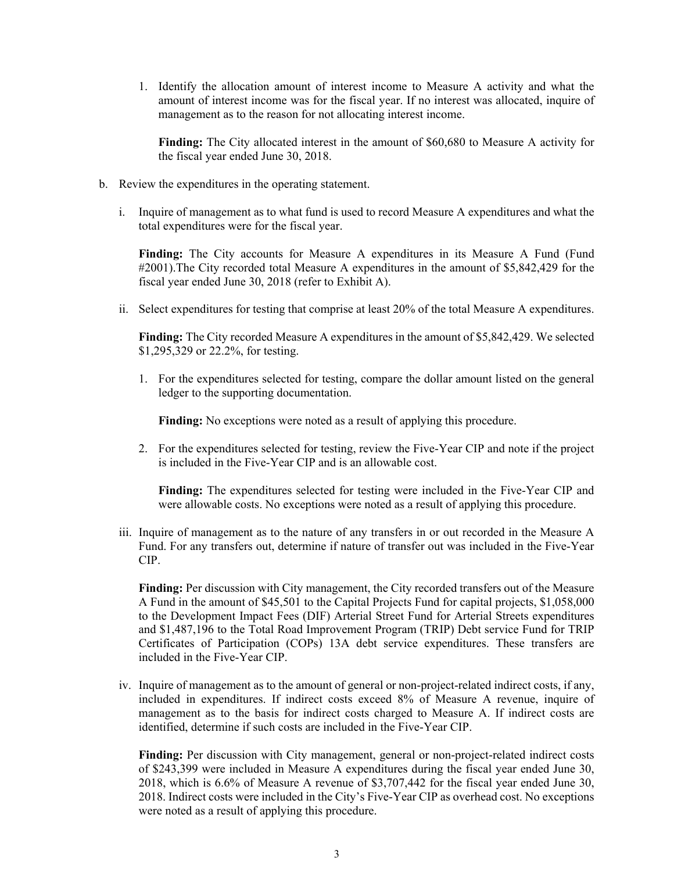1. Identify the allocation amount of interest income to Measure A activity and what the amount of interest income was for the fiscal year. If no interest was allocated, inquire of management as to the reason for not allocating interest income.

**Finding:** The City allocated interest in the amount of \$60,680 to Measure A activity for the fiscal year ended June 30, 2018.

- b. Review the expenditures in the operating statement.
	- i. Inquire of management as to what fund is used to record Measure A expenditures and what the total expenditures were for the fiscal year.

**Finding:** The City accounts for Measure A expenditures in its Measure A Fund (Fund #2001).The City recorded total Measure A expenditures in the amount of \$5,842,429 for the fiscal year ended June 30, 2018 (refer to Exhibit A).

ii. Select expenditures for testing that comprise at least 20% of the total Measure A expenditures.

**Finding:** The City recorded Measure A expenditures in the amount of \$5,842,429. We selected \$1,295,329 or 22.2%, for testing.

1. For the expenditures selected for testing, compare the dollar amount listed on the general ledger to the supporting documentation.

**Finding:** No exceptions were noted as a result of applying this procedure.

2. For the expenditures selected for testing, review the Five-Year CIP and note if the project is included in the Five-Year CIP and is an allowable cost.

**Finding:** The expenditures selected for testing were included in the Five-Year CIP and were allowable costs. No exceptions were noted as a result of applying this procedure.

iii. Inquire of management as to the nature of any transfers in or out recorded in the Measure A Fund. For any transfers out, determine if nature of transfer out was included in the Five-Year CIP.

**Finding:** Per discussion with City management, the City recorded transfers out of the Measure A Fund in the amount of \$45,501 to the Capital Projects Fund for capital projects, \$1,058,000 to the Development Impact Fees (DIF) Arterial Street Fund for Arterial Streets expenditures and \$1,487,196 to the Total Road Improvement Program (TRIP) Debt service Fund for TRIP Certificates of Participation (COPs) 13A debt service expenditures. These transfers are included in the Five-Year CIP.

iv. Inquire of management as to the amount of general or non-project-related indirect costs, if any, included in expenditures. If indirect costs exceed 8% of Measure A revenue, inquire of management as to the basis for indirect costs charged to Measure A. If indirect costs are identified, determine if such costs are included in the Five-Year CIP.

**Finding:** Per discussion with City management, general or non-project-related indirect costs of \$243,399 were included in Measure A expenditures during the fiscal year ended June 30, 2018, which is 6.6% of Measure A revenue of \$3,707,442 for the fiscal year ended June 30, 2018. Indirect costs were included in the City's Five-Year CIP as overhead cost. No exceptions were noted as a result of applying this procedure.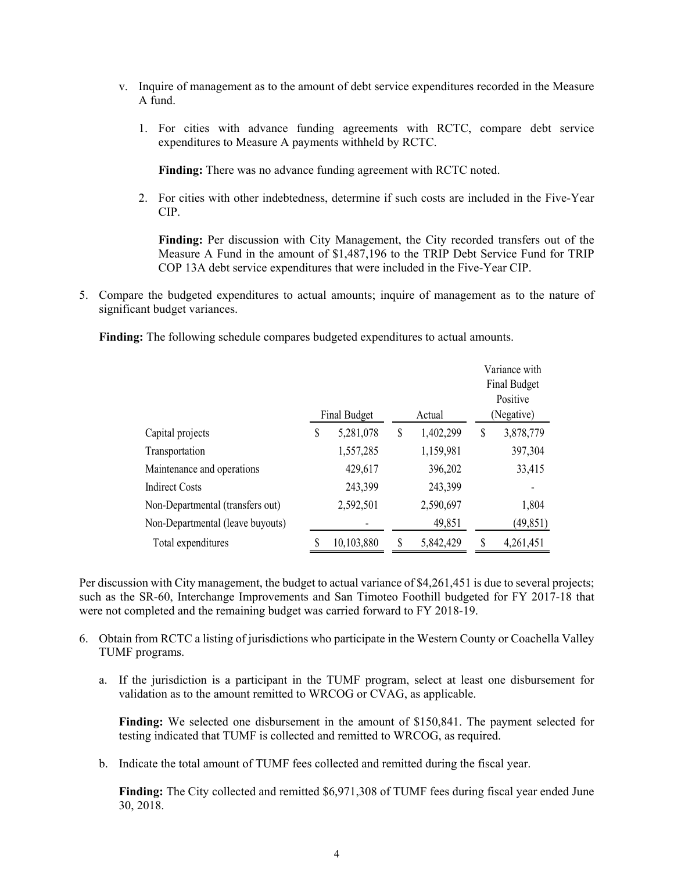- v. Inquire of management as to the amount of debt service expenditures recorded in the Measure A fund.
	- 1. For cities with advance funding agreements with RCTC, compare debt service expenditures to Measure A payments withheld by RCTC.

**Finding:** There was no advance funding agreement with RCTC noted.

2. For cities with other indebtedness, determine if such costs are included in the Five-Year CIP.

**Finding:** Per discussion with City Management, the City recorded transfers out of the Measure A Fund in the amount of \$1,487,196 to the TRIP Debt Service Fund for TRIP COP 13A debt service expenditures that were included in the Five-Year CIP.

5. Compare the budgeted expenditures to actual amounts; inquire of management as to the nature of significant budget variances.

**Finding:** The following schedule compares budgeted expenditures to actual amounts.

|                                  | <b>Final Budget</b> | Actual          | Variance with<br>Final Budget<br>Positive<br>(Negative) |           |  |
|----------------------------------|---------------------|-----------------|---------------------------------------------------------|-----------|--|
| Capital projects                 | \$<br>5,281,078     | \$<br>1,402,299 | \$                                                      | 3,878,779 |  |
| Transportation                   | 1,557,285           | 1,159,981       |                                                         | 397,304   |  |
| Maintenance and operations       | 429,617             | 396,202         |                                                         | 33,415    |  |
| <b>Indirect Costs</b>            | 243,399             | 243,399         |                                                         |           |  |
| Non-Departmental (transfers out) | 2,592,501           | 2,590,697       |                                                         | 1,804     |  |
| Non-Departmental (leave buyouts) |                     | 49,851          |                                                         | (49, 851) |  |
| Total expenditures               | 10,103,880          | 5,842,429       | \$                                                      | 4,261,451 |  |

Per discussion with City management, the budget to actual variance of \$4,261,451 is due to several projects; such as the SR-60, Interchange Improvements and San Timoteo Foothill budgeted for FY 2017-18 that were not completed and the remaining budget was carried forward to FY 2018-19.

- 6. Obtain from RCTC a listing of jurisdictions who participate in the Western County or Coachella Valley TUMF programs.
	- a. If the jurisdiction is a participant in the TUMF program, select at least one disbursement for validation as to the amount remitted to WRCOG or CVAG, as applicable.

**Finding:** We selected one disbursement in the amount of \$150,841. The payment selected for testing indicated that TUMF is collected and remitted to WRCOG, as required.

b. Indicate the total amount of TUMF fees collected and remitted during the fiscal year.

**Finding:** The City collected and remitted \$6,971,308 of TUMF fees during fiscal year ended June 30, 2018.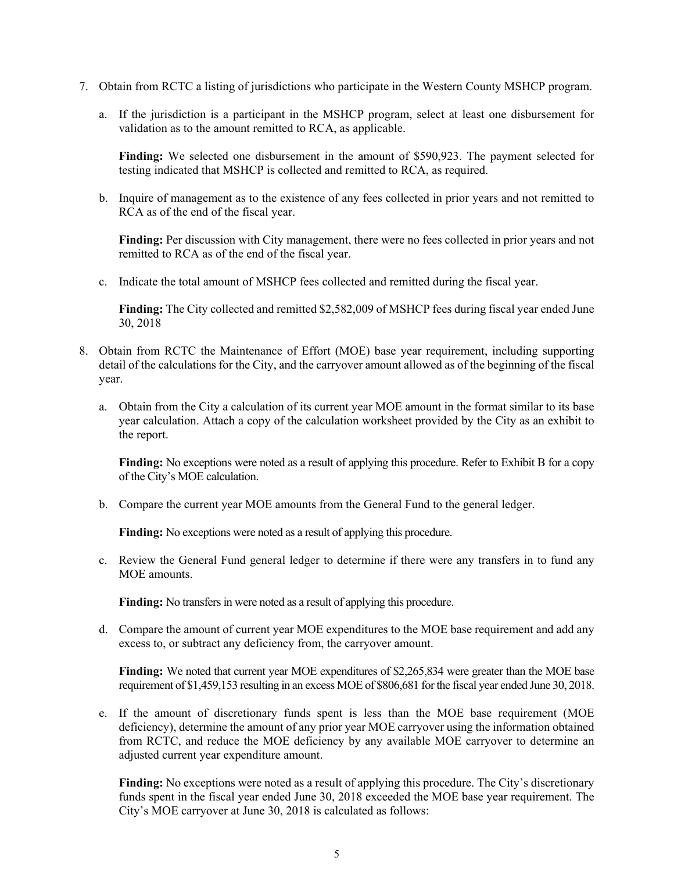- 7. Obtain from RCTC a listing of jurisdictions who participate in the Western County MSHCP program.
	- a. If the jurisdiction is a participant in the MSHCP program, select at least one disbursement for validation as to the amount remitted to RCA, as applicable.

**Finding:** We selected one disbursement in the amount of \$590,923. The payment selected for testing indicated that MSHCP is collected and remitted to RCA, as required.

b. Inquire of management as to the existence of any fees collected in prior years and not remitted to RCA as of the end of the fiscal year.

**Finding:** Per discussion with City management, there were no fees collected in prior years and not remitted to RCA as of the end of the fiscal year.

c. Indicate the total amount of MSHCP fees collected and remitted during the fiscal year.

**Finding:** The City collected and remitted \$2,582,009 of MSHCP fees during fiscal year ended June 30, 2018

- 8. Obtain from RCTC the Maintenance of Effort (MOE) base year requirement, including supporting detail of the calculations for the City, and the carryover amount allowed as of the beginning of the fiscal year.
	- a. Obtain from the City a calculation of its current year MOE amount in the format similar to its base year calculation. Attach a copy of the calculation worksheet provided by the City as an exhibit to the report.

**Finding:** No exceptions were noted as a result of applying this procedure. Refer to Exhibit B for a copy of the City's MOE calculation.

b. Compare the current year MOE amounts from the General Fund to the general ledger.

**Finding:** No exceptions were noted as a result of applying this procedure.

c. Review the General Fund general ledger to determine if there were any transfers in to fund any MOE amounts.

**Finding:** No transfers in were noted as a result of applying this procedure.

d. Compare the amount of current year MOE expenditures to the MOE base requirement and add any excess to, or subtract any deficiency from, the carryover amount.

**Finding:** We noted that current year MOE expenditures of \$2,265,834 were greater than the MOE base requirement of \$1,459,153 resulting in an excess MOE of \$806,681 for the fiscal year ended June 30, 2018.

e. If the amount of discretionary funds spent is less than the MOE base requirement (MOE deficiency), determine the amount of any prior year MOE carryover using the information obtained from RCTC, and reduce the MOE deficiency by any available MOE carryover to determine an adjusted current year expenditure amount.

**Finding:** No exceptions were noted as a result of applying this procedure. The City's discretionary funds spent in the fiscal year ended June 30, 2018 exceeded the MOE base year requirement. The City's MOE carryover at June 30, 2018 is calculated as follows: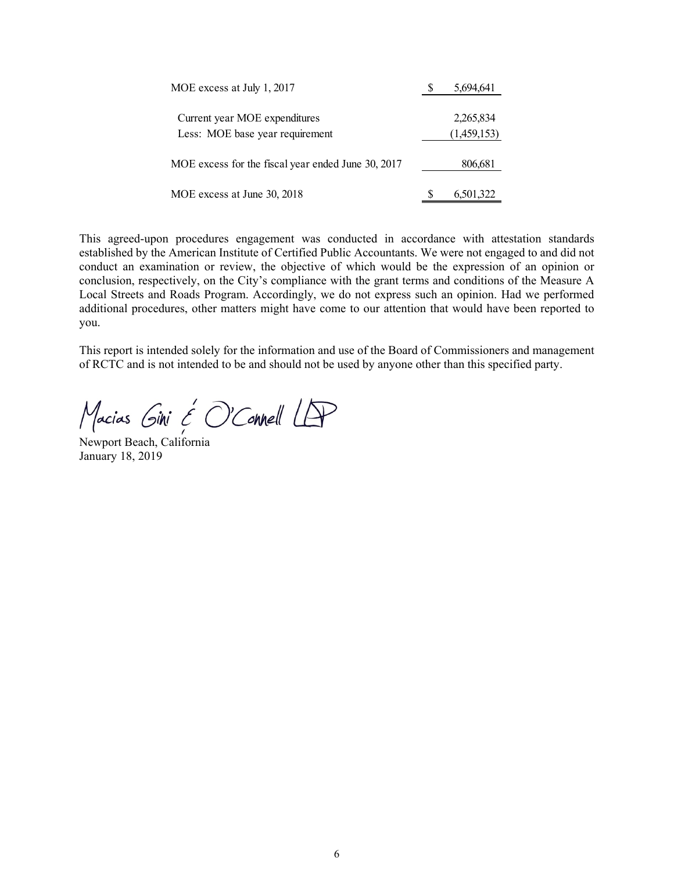| MOE excess at July 1, 2017                         |  | 5,694,641   |  |  |
|----------------------------------------------------|--|-------------|--|--|
| Current year MOE expenditures                      |  | 2,265,834   |  |  |
| Less: MOE base year requirement                    |  | (1,459,153) |  |  |
| MOE excess for the fiscal year ended June 30, 2017 |  | 806,681     |  |  |
| MOE excess at June 30, 2018                        |  | 6,501,322   |  |  |

This agreed-upon procedures engagement was conducted in accordance with attestation standards established by the American Institute of Certified Public Accountants. We were not engaged to and did not conduct an examination or review, the objective of which would be the expression of an opinion or conclusion, respectively, on the City's compliance with the grant terms and conditions of the Measure A Local Streets and Roads Program. Accordingly, we do not express such an opinion. Had we performed additional procedures, other matters might have come to our attention that would have been reported to you.

This report is intended solely for the information and use of the Board of Commissioners and management of RCTC and is not intended to be and should not be used by anyone other than this specified party.

Macias Gini & O'Connell LAP

Newport Beach, California January 18, 2019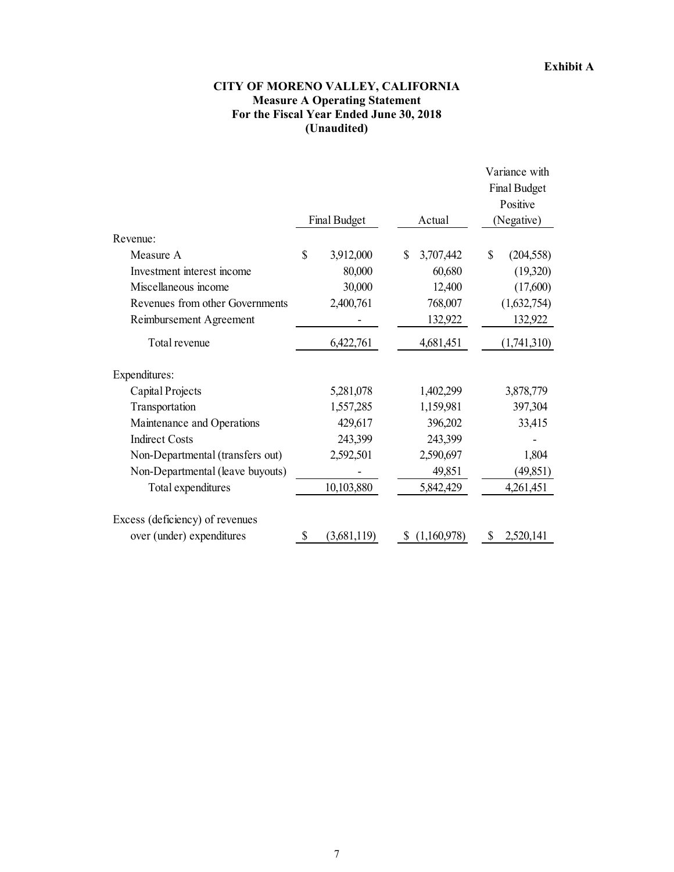## **CITY OF MORENO VALLEY, CALIFORNIA Measure A Operating Statement For the Fiscal Year Ended June 30, 2018 (Unaudited)**

|                                  |                   |    |             | Variance with    |
|----------------------------------|-------------------|----|-------------|------------------|
|                                  |                   |    |             | Final Budget     |
|                                  |                   |    |             | Positive         |
|                                  | Final Budget      |    | Actual      | (Negative)       |
| Revenue:                         |                   |    |             |                  |
| Measure A                        | \$<br>3,912,000   | \$ | 3,707,442   | \$<br>(204, 558) |
| Investment interest income       | 80,000            |    | 60,680      | (19,320)         |
| Miscellaneous income             | 30,000            |    | 12,400      | (17,600)         |
| Revenues from other Governments  | 2,400,761         |    | 768,007     | (1,632,754)      |
| Reimbursement Agreement          |                   |    | 132,922     | 132,922          |
| Total revenue                    | 6,422,761         |    | 4,681,451   | (1,741,310)      |
| Expenditures:                    |                   |    |             |                  |
| Capital Projects                 | 5,281,078         |    | 1,402,299   | 3,878,779        |
| Transportation                   | 1,557,285         |    | 1,159,981   | 397,304          |
| Maintenance and Operations       | 429,617           |    | 396,202     | 33,415           |
| <b>Indirect Costs</b>            | 243,399           |    | 243,399     |                  |
| Non-Departmental (transfers out) | 2,592,501         |    | 2,590,697   | 1,804            |
| Non-Departmental (leave buyouts) |                   |    | 49,851      | (49, 851)        |
| Total expenditures               | 10,103,880        |    | 5,842,429   | 4,261,451        |
| Excess (deficiency) of revenues  |                   |    |             |                  |
| over (under) expenditures        | \$<br>(3,681,119) | S  | (1,160,978) | \$<br>2,520,141  |